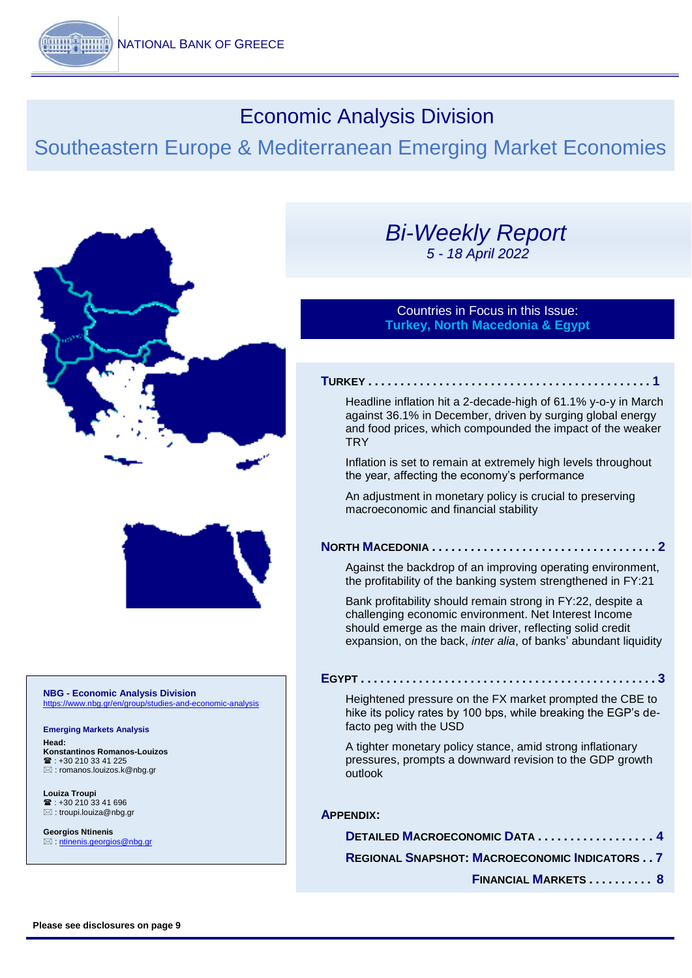# Economic Analysis Division

# Southeastern Europe & Mediterranean Emerging Market Economies



#### **NBG - Economic Analysis Division** https://www.nbg.gr/e

**Emerging Markets Analysis Head: Konstantinos Romanos-Louizos**  $\mathbf{R}$  +30 210 33 41 225 [: romanos.louizos.k@nbg.gr](mailto:romanos.louizos.k@nbg.gr)

**Louiza Troupi**   $\mathbf{R}$  : +30 210 33 41 696  $\boxtimes$ : troupi.louiza@nbq.gr

**Georgios Ntinenis** : [ntinenis.georgios@nbg.gr](mailto:ntinenis.georgios@nbg.gr)

## *Bi-Weekly Report 5 - 18 April 2022*

### Countries in Focus in this Issue: **Turkey, North Macedonia & Egypt**

#### **T[URKEY](#page-1-0) . . . . . . . . . . . . . . . . . . . . . . . . . . . . . . . . . . . . . . . . . . . . 1**

[Headline inflation hit a 2-decade-high of 61.1% y-o-y in March](#page-1-0)  against [36.1% in December, driven by surging global energy](#page-1-0)  [and food prices, which compounded the impact of the weaker](#page-1-0)  **[TRY](#page-1-0)** 

[Inflation is set to remain at extremely high](#page-1-0) levels throughout [the year, affecting the economy's performance](#page-1-0)

An adjustment in monetary policy is crucial to preserving macroeconomic and financial stability

### **NORTH MACEDONIA..........**

[Against the backdrop of an improving operating environment,](#page-2-0)  [the profitability of the banking system strengthened](#page-2-0) in FY:21

[Bank profitability should remain strong in FY:22, despite a](#page-2-0) [challenging economic environment. Net Interest Income](#page-2-0)  should emerge [as the main driver, reflecting solid credit](#page-2-0)  [expansion, on the back,](#page-2-0) *inter alia*, of banks' abundant liquidity

#### **E[GYPT](#page-0-0) . . . . . . . . . . . . . . . . . . . . . . . . . . . . . . . . . . . . . . . . . . . . . . 3**

[Heightened pressure on the FX market prompted the CBE to](#page-0-0)  [hike its policy rates by 100 bps, while breaking the EGP's de](#page-0-0)[facto peg with the USD](#page-0-0)

<span id="page-0-0"></span>[A tighter monetary policy stance, amid strong inflationary](#page-0-0)  [pressures, prompts a downward revision to the GDP growth](#page-0-0)  [outlook](#page-0-0)

#### **A[PPENDIX](#page-4-0):**

**DETAILED M[ACROECONOMIC](#page-4-0) DATA................4 REGIONAL SNAPSHOT: M[ACROECONOMIC](#page-7-0) INDICATORS . . 7**

 **F[INANCIAL](#page-8-0) MARKETS . . . . . . . . . . 8**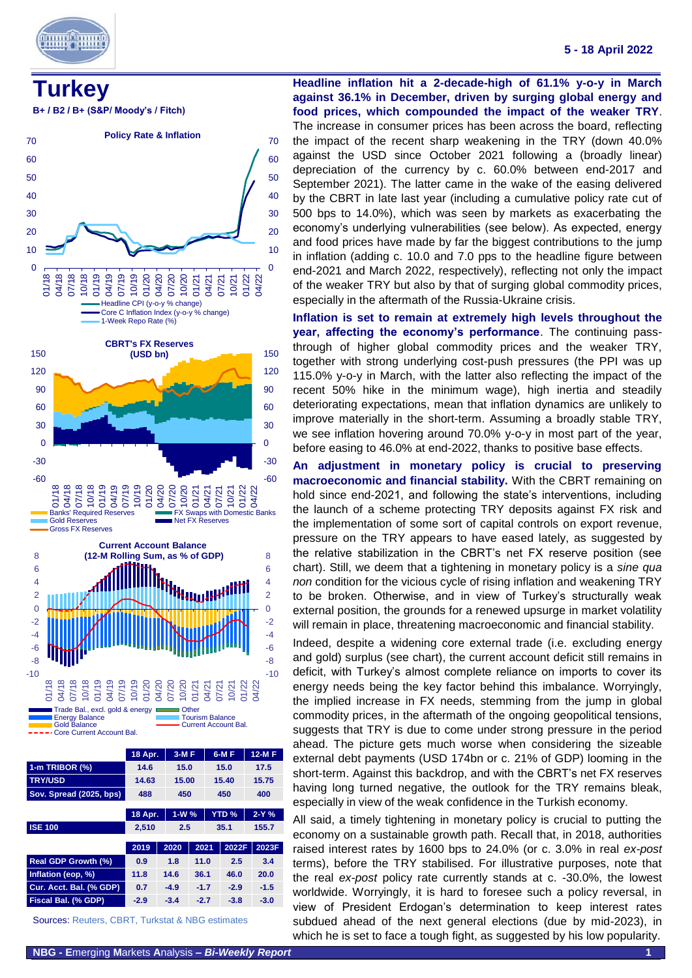

# <span id="page-1-0"></span>**Turkey**





|                                                  | 18 Apr. |  | $3-MF$ |        |       | 6-M F        |  | 12-M F |
|--------------------------------------------------|---------|--|--------|--------|-------|--------------|--|--------|
| 1-m TRIBOR (%)                                   | 14.6    |  | 15.0   |        |       | 15.0         |  | 17.5   |
| <b>TRY/USD</b>                                   | 14.63   |  | 15.00  |        | 15.40 |              |  | 15.75  |
| Sov. Spread (2025, bps)                          | 488     |  |        | 450    |       | 450          |  | 400    |
|                                                  | 18 Apr. |  | $1-W%$ |        |       | <b>YTD %</b> |  | $2-Y%$ |
| <b>ISE 100</b>                                   | 2,510   |  | 2.5    |        |       | 35.1         |  | 155.7  |
|                                                  | 2019    |  | 2020   | 2021   |       | 2022F        |  | 2023F  |
| Real GDP Growth (%)                              | 0.9     |  | 1.8    | 11.0   |       | 2.5          |  | 3.4    |
| Inflation (eop, %)                               | 11.8    |  | 14.6   | 36.1   |       | 46.0         |  | 20.0   |
| Cur. Acct. Bal. (% GDP)                          | 0.7     |  | $-4.9$ | $-1.7$ |       | $-2.9$       |  | $-1.5$ |
| Fiscal Bal. (% GDP)                              | $-2.9$  |  | $-3.4$ | $-2.7$ |       | $-3.8$       |  | $-3.0$ |
| Sources: Reuters, CBRT, Turkstat & NBG estimates |         |  |        |        |       |              |  |        |

**Headline inflation hit a 2-decade-high of 61.1% y-o-y in March against 36.1% in December, driven by surging global energy and food prices, which compounded the impact of the weaker TRY**. The increase in consumer prices has been across the board, reflecting the impact of the recent sharp weakening in the TRY (down 40.0% against the USD since October 2021 following a (broadly linear) depreciation of the currency by c. 60.0% between end-2017 and September 2021). The latter came in the wake of the easing delivered by the CBRT in late last year (including a cumulative policy rate cut of 500 bps to 14.0%), which was seen by markets as exacerbating the economy's underlying vulnerabilities (see below). As expected, energy and food prices have made by far the biggest contributions to the jump in inflation (adding c. 10.0 and 7.0 pps to the headline figure between end-2021 and March 2022, respectively), reflecting not only the impact of the weaker TRY but also by that of surging global commodity prices, especially in the aftermath of the Russia-Ukraine crisis.

**Inflation is set to remain at extremely high levels throughout the year, affecting the economy's performance**. The continuing passthrough of higher global commodity prices and the weaker TRY, together with strong underlying cost-push pressures (the PPI was up 115.0% y-o-y in March, with the latter also reflecting the impact of the recent 50% hike in the minimum wage), high inertia and steadily deteriorating expectations, mean that inflation dynamics are unlikely to improve materially in the short-term. Assuming a broadly stable TRY, we see inflation hovering around 70.0% y-o-y in most part of the year, before easing to 46.0% at end-2022, thanks to positive base effects.

**An adjustment in monetary policy is crucial to preserving macroeconomic and financial stability.** With the CBRT remaining on hold since end-2021, and following the state's interventions, including the launch of a scheme protecting TRY deposits against FX risk and the implementation of some sort of capital controls on export revenue, pressure on the TRY appears to have eased lately, as suggested by the relative stabilization in the CBRT's net FX reserve position (see chart). Still, we deem that a tightening in monetary policy is a *sine qua non* condition for the vicious cycle of rising inflation and weakening TRY to be broken. Otherwise, and in view of Turkey's structurally weak external position, the grounds for a renewed upsurge in market volatility will remain in place, threatening macroeconomic and financial stability.

Indeed, despite a widening core external trade (i.e. excluding energy and gold) surplus (see chart), the current account deficit still remains in deficit, with Turkey's almost complete reliance on imports to cover its energy needs being the key factor behind this imbalance. Worryingly, the implied increase in FX needs, stemming from the jump in global commodity prices, in the aftermath of the ongoing geopolitical tensions, suggests that TRY is due to come under strong pressure in the period ahead. The picture gets much worse when considering the sizeable external debt payments (USD 174bn or c. 21% of GDP) looming in the short-term. Against this backdrop, and with the CBRT's net FX reserves having long turned negative, the outlook for the TRY remains bleak, especially in view of the weak confidence in the Turkish economy.

All said, a timely tightening in monetary policy is crucial to putting the economy on a sustainable growth path. Recall that, in 2018, authorities raised interest rates by 1600 bps to 24.0% (or c. 3.0% in real *ex-post* terms), before the TRY stabilised. For illustrative purposes, note that the real *ex-post* policy rate currently stands at c. -30.0%, the lowest worldwide. Worryingly, it is hard to foresee such a policy reversal, in view of President Erdogan's determination to keep interest rates subdued ahead of the next general elections (due by mid-2023), in which he is set to face a tough fight, as suggested by his low popularity.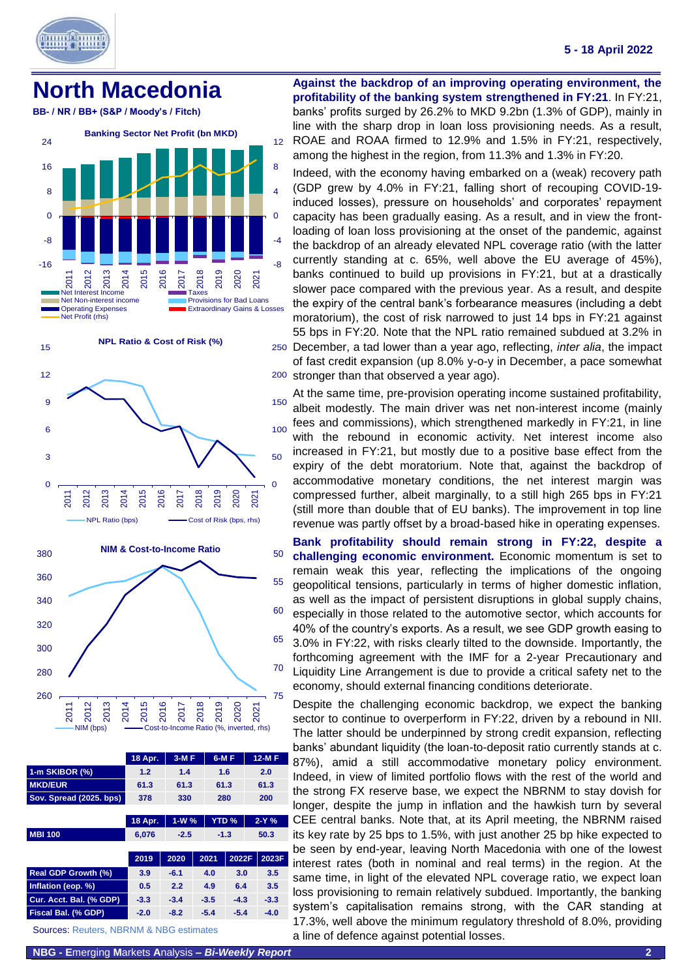

15

### **5 - 18 April 2022**

## <span id="page-2-0"></span>**North Macedonia**

**BB- / NR / BB+ (S&P / Moody's / Fitch)**



**NPL Ratio & Cost of Risk (%)**





|                                                    | 18 Apr. | $3-MF$ |                        | 6-M F  |        | 12-M F |        |
|----------------------------------------------------|---------|--------|------------------------|--------|--------|--------|--------|
| 1-m SKIBOR (%)                                     | 1.2     | 1.4    |                        | 1.6    |        | 2.0    |        |
| <b>MKD/EUR</b>                                     | 61.3    | 61.3   |                        | 61.3   |        | 61.3   |        |
| Sov. Spread (2025. bps)                            | 378     | 330    |                        |        | 280    | 200    |        |
|                                                    |         |        |                        |        |        |        |        |
|                                                    | 18 Apr. |        | <b>YTD %</b><br>$1-W%$ |        |        |        | $2-Y%$ |
| <b>MBI 100</b>                                     | 6,076   | $-2.5$ |                        | $-1.3$ |        | 50.3   |        |
|                                                    |         |        |                        |        |        |        |        |
|                                                    | 2019    | 2020   |                        | 2021   | 2022F  |        | 2023F  |
| Real GDP Growth (%)                                | 3.9     | $-6.1$ |                        | 4.0    | 3.0    |        | 3.5    |
| Inflation (eop. %)                                 | 0.5     | 2.2    |                        | 4.9    | 6.4    |        | 3.5    |
| Cur. Acct. Bal. (% GDP)                            | $-3.3$  | $-3.4$ |                        | $-3.5$ | $-4.3$ |        | $-3.3$ |
| Fiscal Bal. (% GDP)                                | $-2.0$  | $-8.2$ |                        | $-5.4$ | $-5.4$ |        | $-4.0$ |
| <b>Sources: Reuters, NBRNM &amp; NBG estimates</b> |         |        |                        |        |        |        |        |

**Against the backdrop of an improving operating environment, the profitability of the banking system strengthened in FY:21**. In FY:21, banks' profits surged by 26.2% to MKD 9.2bn (1.3% of GDP), mainly in line with the sharp drop in loan loss provisioning needs. As a result, ROAE and ROAA firmed to 12.9% and 1.5% in FY:21, respectively, among the highest in the region, from 11.3% and 1.3% in FY:20.

250 December, a tad lower than a year ago, reflecting, *inter alia*, the impact Indeed, with the economy having embarked on a (weak) recovery path (GDP grew by 4.0% in FY:21, falling short of recouping COVID-19 induced losses), pressure on households' and corporates' repayment capacity has been gradually easing. As a result, and in view the frontloading of loan loss provisioning at the onset of the pandemic, against the backdrop of an already elevated NPL coverage ratio (with the latter currently standing at c. 65%, well above the EU average of 45%), banks continued to build up provisions in FY:21, but at a drastically slower pace compared with the previous year. As a result, and despite the expiry of the central bank's forbearance measures (including a debt moratorium), the cost of risk narrowed to just 14 bps in FY:21 against 55 bps in FY:20. Note that the NPL ratio remained subdued at 3.2% in

200 stronger than that observed a year ago). of fast credit expansion (up 8.0% y-o-y in December, a pace somewhat

At the same time, pre-provision operating income sustained profitability, albeit modestly. The main driver was net non-interest income (mainly fees and commissions), which strengthened markedly in FY:21, in line with the rebound in economic activity. Net interest income also increased in FY:21, but mostly due to a positive base effect from the expiry of the debt moratorium. Note that, against the backdrop of accommodative monetary conditions, the net interest margin was compressed further, albeit marginally, to a still high 265 bps in FY:21 (still more than double that of EU banks). The improvement in top line revenue was partly offset by a broad-based hike in operating expenses.

**Bank profitability should remain strong in FY:22, despite a challenging economic environment.** Economic momentum is set to remain weak this year, reflecting the implications of the ongoing geopolitical tensions, particularly in terms of higher domestic inflation, as well as the impact of persistent disruptions in global supply chains, especially in those related to the automotive sector, which accounts for 40% of the country's exports. As a result, we see GDP growth easing to 3.0% in FY:22, with risks clearly tilted to the downside. Importantly, the forthcoming agreement with the IMF for a 2-year Precautionary and Liquidity Line Arrangement is due to provide a critical safety net to the economy, should external financing conditions deteriorate.

Despite the challenging economic backdrop, we expect the banking sector to continue to overperform in FY:22, driven by a rebound in NII. The latter should be underpinned by strong credit expansion, reflecting banks' abundant liquidity (the loan-to-deposit ratio currently stands at c. 87%), amid a still accommodative monetary policy environment. Indeed, in view of limited portfolio flows with the rest of the world and the strong FX reserve base, we expect the NBRNM to stay dovish for longer, despite the jump in inflation and the hawkish turn by several CEE central banks. Note that, at its April meeting, the NBRNM raised its key rate by 25 bps to 1.5%, with just another 25 bp hike expected to be seen by end-year, leaving North Macedonia with one of the lowest interest rates (both in nominal and real terms) in the region. At the same time, in light of the elevated NPL coverage ratio, we expect loan loss provisioning to remain relatively subdued. Importantly, the banking system's capitalisation remains strong, with the CAR standing at 17.3%, well above the minimum regulatory threshold of 8.0%, providing a line of defence against potential losses.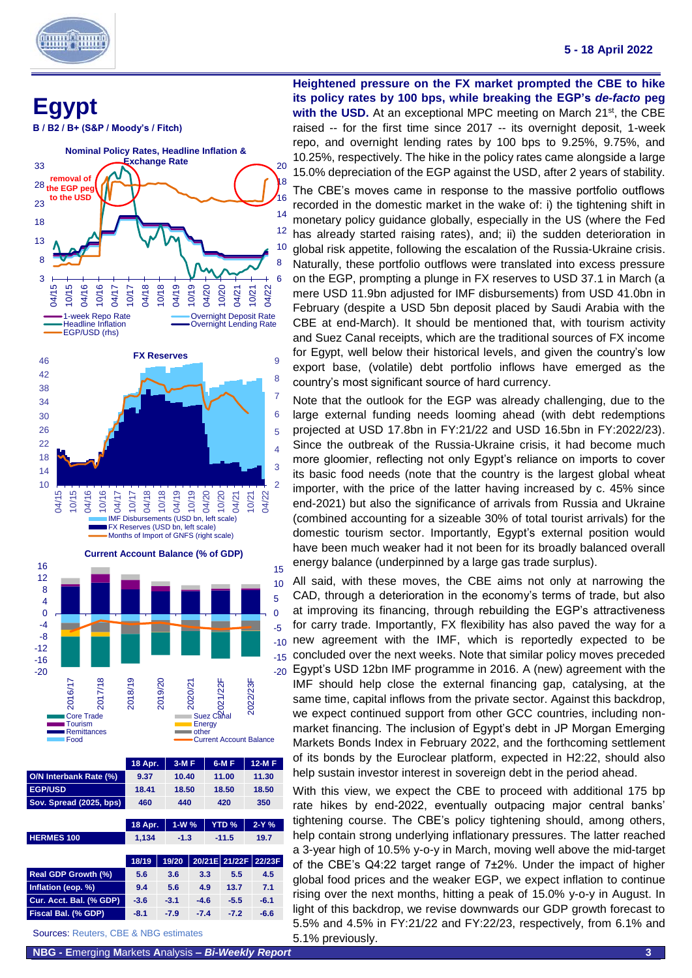

٦

**Egypt** 

**B / B2 / B+ (S&P / Moody's / Fitch)**



|                                                  | 18 Apr. | $3-MF$ |        |       | $6-MF$        | 12-M F  |  |
|--------------------------------------------------|---------|--------|--------|-------|---------------|---------|--|
| O/N Interbank Rate (%)                           | 9.37    | 10.40  |        |       | 11.00         | 11.30   |  |
| <b>EGP/USD</b>                                   | 18.41   | 18.50  |        | 18.50 |               | 18.50   |  |
| Sov. Spread (2025, bps)                          | 460     | 440    |        | 420   |               | 350     |  |
|                                                  |         |        |        |       |               |         |  |
|                                                  | 18 Apr. | $1-W%$ |        |       | <b>YTD %</b>  | $2-Y$ % |  |
| <b>HERMES 100</b>                                | 1,134   |        | $-1.3$ |       | $-11.5$       | 19.7    |  |
|                                                  |         |        |        |       |               |         |  |
|                                                  | 18/19   | 19/20  |        |       | 20/21E 21/22F | 22/23F  |  |
| Real GDP Growth (%)                              | 5.6     | 3.6    | 3.3    |       | 5.5           | 4.5     |  |
| Inflation (eop. %)                               | 9.4     | 5.6    | 4.9    |       | 13.7          | 7.1     |  |
| Cur. Acct. Bal. (% GDP)                          | $-3.6$  | $-3.1$ | $-4.6$ |       | $-5.5$        | $-6.1$  |  |
| Fiscal Bal. (% GDP)                              | $-8.1$  | $-7.9$ | $-7.4$ |       | $-7.2$        | $-6.6$  |  |
| <b>Sources: Reuters, CBE &amp; NBG estimates</b> |         |        |        |       |               |         |  |

**Heightened pressure on the FX market prompted the CBE to hike its policy rates by 100 bps, while breaking the EGP's** *de-facto* **peg with the USD.** At an exceptional MPC meeting on March 21<sup>st</sup>, the CBE raised -- for the first time since 2017 -- its overnight deposit, 1-week repo, and overnight lending rates by 100 bps to 9.25%, 9.75%, and 10.25%, respectively. The hike in the policy rates came alongside a large 15.0% depreciation of the EGP against the USD, after 2 years of stability.

The CBE's moves came in response to the massive portfolio outflows recorded in the domestic market in the wake of: i) the tightening shift in monetary policy guidance globally, especially in the US (where the Fed has already started raising rates), and; ii) the sudden deterioration in global risk appetite, following the escalation of the Russia-Ukraine crisis. Naturally, these portfolio outflows were translated into excess pressure on the EGP, prompting a plunge in FX reserves to USD 37.1 in March (a mere USD 11.9bn adjusted for IMF disbursements) from USD 41.0bn in February (despite a USD 5bn deposit placed by Saudi Arabia with the CBE at end-March). It should be mentioned that, with tourism activity and Suez Canal receipts, which are the traditional sources of FX income for Egypt, well below their historical levels, and given the country's low export base, (volatile) debt portfolio inflows have emerged as the country's most significant source of hard currency.

Note that the outlook for the EGP was already challenging, due to the large external funding needs looming ahead (with debt redemptions projected at USD 17.8bn in FY:21/22 and USD 16.5bn in FY:2022/23). Since the outbreak of the Russia-Ukraine crisis, it had become much more gloomier, reflecting not only Egypt's reliance on imports to cover its basic food needs (note that the country is the largest global wheat importer, with the price of the latter having increased by c. 45% since end-2021) but also the significance of arrivals from Russia and Ukraine (combined accounting for a sizeable 30% of total tourist arrivals) for the domestic tourism sector. Importantly, Egypt's external position would have been much weaker had it not been for its broadly balanced overall energy balance (underpinned by a large gas trade surplus).

All said, with these moves, the CBE aims not only at narrowing the CAD, through a deterioration in the economy's terms of trade, but also at improving its financing, through rebuilding the EGP's attractiveness for carry trade. Importantly, FX flexibility has also paved the way for a new agreement with the IMF, which is reportedly expected to be concluded over the next weeks. Note that similar policy moves preceded Egypt's USD 12bn IMF programme in 2016. A (new) agreement with the IMF should help close the external financing gap, catalysing, at the same time, capital inflows from the private sector. Against this backdrop, we expect continued support from other GCC countries, including nonmarket financing. The inclusion of Egypt's debt in JP Morgan Emerging Markets Bonds Index in February 2022, and the forthcoming settlement of its bonds by the Euroclear platform, expected in H2:22, should also help sustain investor interest in sovereign debt in the period ahead.

With this view, we expect the CBE to proceed with additional 175 bp rate hikes by end-2022, eventually outpacing major central banks' tightening course. The CBE's policy tightening should, among others, help contain strong underlying inflationary pressures. The latter reached a 3-year high of 10.5% y-o-y in March, moving well above the mid-target of the CBE's Q4:22 target range of 7±2%. Under the impact of higher global food prices and the weaker EGP, we expect inflation to continue rising over the next months, hitting a peak of 15.0% y-o-y in August. In light of this backdrop, we revise downwards our GDP growth forecast to 5.5% and 4.5% in FY:21/22 and FY:22/23, respectively, from 6.1% and 5.1% previously.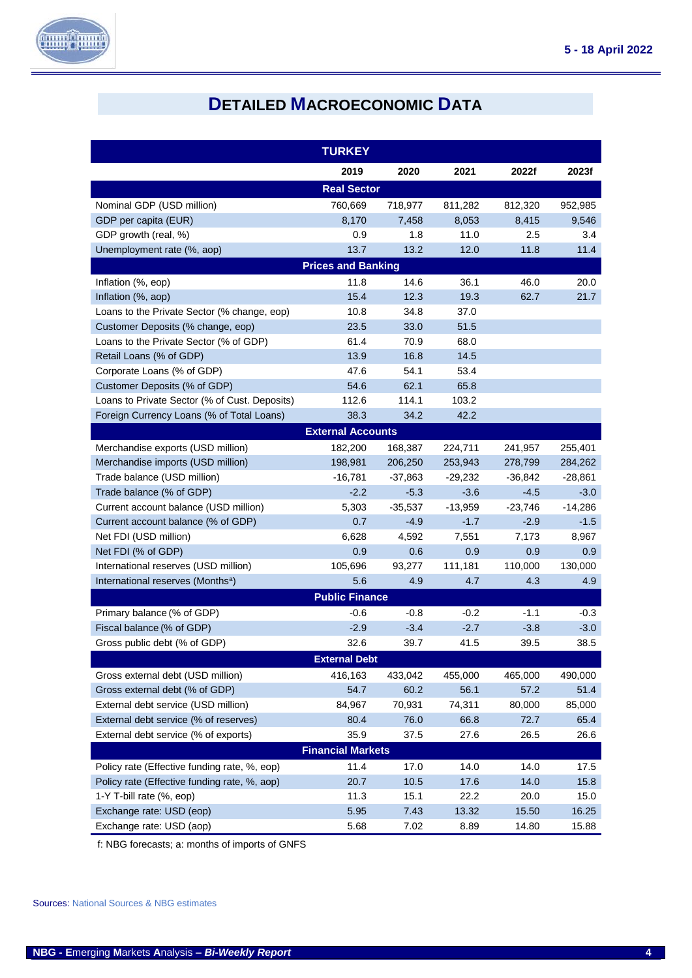

# **DETAILED MACROECONOMIC DATA**

<span id="page-4-0"></span>

|                                               | <b>TURKEY</b>             |           |           |           |           |  |  |  |  |
|-----------------------------------------------|---------------------------|-----------|-----------|-----------|-----------|--|--|--|--|
|                                               | 2019                      | 2020      | 2021      | 2022f     | 2023f     |  |  |  |  |
|                                               | <b>Real Sector</b>        |           |           |           |           |  |  |  |  |
| Nominal GDP (USD million)                     | 760,669                   | 718,977   | 811,282   | 812,320   | 952,985   |  |  |  |  |
| GDP per capita (EUR)                          | 8,170                     | 7,458     | 8,053     | 8,415     | 9,546     |  |  |  |  |
| GDP growth (real, %)                          | 0.9                       | 1.8       | 11.0      | 2.5       | 3.4       |  |  |  |  |
| Unemployment rate (%, aop)                    | 13.7                      | 13.2      | 12.0      | 11.8      | 11.4      |  |  |  |  |
|                                               | <b>Prices and Banking</b> |           |           |           |           |  |  |  |  |
| Inflation (%, eop)                            | 11.8                      | 14.6      | 36.1      | 46.0      | 20.0      |  |  |  |  |
| Inflation (%, aop)                            | 15.4                      | 12.3      | 19.3      | 62.7      | 21.7      |  |  |  |  |
| Loans to the Private Sector (% change, eop)   | 10.8                      | 34.8      | 37.0      |           |           |  |  |  |  |
| Customer Deposits (% change, eop)             | 23.5                      | 33.0      | 51.5      |           |           |  |  |  |  |
| Loans to the Private Sector (% of GDP)        | 61.4                      | 70.9      | 68.0      |           |           |  |  |  |  |
| Retail Loans (% of GDP)                       | 13.9                      | 16.8      | 14.5      |           |           |  |  |  |  |
| Corporate Loans (% of GDP)                    | 47.6                      | 54.1      | 53.4      |           |           |  |  |  |  |
| Customer Deposits (% of GDP)                  | 54.6                      | 62.1      | 65.8      |           |           |  |  |  |  |
| Loans to Private Sector (% of Cust. Deposits) | 112.6                     | 114.1     | 103.2     |           |           |  |  |  |  |
| Foreign Currency Loans (% of Total Loans)     | 38.3                      | 34.2      | 42.2      |           |           |  |  |  |  |
|                                               | <b>External Accounts</b>  |           |           |           |           |  |  |  |  |
| Merchandise exports (USD million)             | 182,200                   | 168,387   | 224,711   | 241,957   | 255,401   |  |  |  |  |
| Merchandise imports (USD million)             | 198,981                   | 206,250   | 253,943   | 278,799   | 284,262   |  |  |  |  |
| Trade balance (USD million)                   | -16,781                   | $-37,863$ | $-29,232$ | $-36,842$ | $-28,861$ |  |  |  |  |
| Trade balance (% of GDP)                      | $-2.2$                    | $-5.3$    | $-3.6$    | $-4.5$    | $-3.0$    |  |  |  |  |
| Current account balance (USD million)         | 5,303                     | $-35,537$ | $-13,959$ | $-23,746$ | $-14,286$ |  |  |  |  |
| Current account balance (% of GDP)            | 0.7                       | $-4.9$    | $-1.7$    | $-2.9$    | $-1.5$    |  |  |  |  |
| Net FDI (USD million)                         | 6,628                     | 4,592     | 7,551     | 7,173     | 8,967     |  |  |  |  |
| Net FDI (% of GDP)                            | 0.9                       | 0.6       | 0.9       | 0.9       | 0.9       |  |  |  |  |
| International reserves (USD million)          | 105,696                   | 93,277    | 111,181   | 110,000   | 130,000   |  |  |  |  |
| International reserves (Months <sup>a</sup> ) | 5.6                       | 4.9       | 4.7       | 4.3       | 4.9       |  |  |  |  |
|                                               | <b>Public Finance</b>     |           |           |           |           |  |  |  |  |
| Primary balance (% of GDP)                    | -0.6                      | $-0.8$    | $-0.2$    | $-1.1$    | -0.3      |  |  |  |  |
| Fiscal balance (% of GDP)                     | $-2.9$                    | $-3.4$    | $-2.7$    | $-3.8$    | $-3.0$    |  |  |  |  |
| Gross public debt (% of GDP)                  | 32.6                      | 39.7      | 41.5      | 39.5      | 38.5      |  |  |  |  |
|                                               | <b>External Debt</b>      |           |           |           |           |  |  |  |  |
| Gross external debt (USD million)             | 416,163                   | 433,042   | 455,000   | 465,000   | 490,000   |  |  |  |  |
| Gross external debt (% of GDP)                | 54.7                      | 60.2      | 56.1      | 57.2      | 51.4      |  |  |  |  |
| External debt service (USD million)           | 84,967                    | 70,931    | 74,311    | 80,000    | 85,000    |  |  |  |  |
| External debt service (% of reserves)         | 80.4                      | 76.0      | 66.8      | 72.7      | 65.4      |  |  |  |  |
| External debt service (% of exports)          | 35.9                      | 37.5      | 27.6      | 26.5      | 26.6      |  |  |  |  |
| <b>Financial Markets</b>                      |                           |           |           |           |           |  |  |  |  |
| Policy rate (Effective funding rate, %, eop)  | 11.4                      | 17.0      | 14.0      | 14.0      | 17.5      |  |  |  |  |
| Policy rate (Effective funding rate, %, aop)  | 20.7                      | 10.5      | 17.6      | 14.0      | 15.8      |  |  |  |  |
| 1-Y T-bill rate (%, eop)                      | 11.3                      | 15.1      | 22.2      | 20.0      | 15.0      |  |  |  |  |
| Exchange rate: USD (eop)                      | 5.95                      | 7.43      | 13.32     | 15.50     | 16.25     |  |  |  |  |
| Exchange rate: USD (aop)                      | 5.68                      | 7.02      | 8.89      | 14.80     | 15.88     |  |  |  |  |

f: NBG forecasts; a: months of imports of GNFS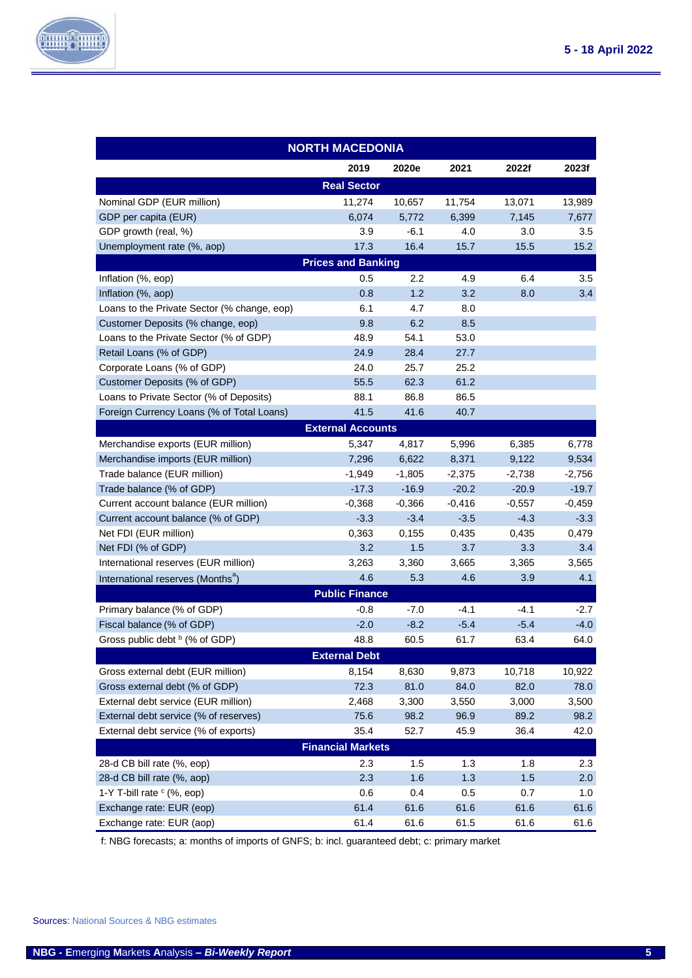

|                                               | <b>NORTH MACEDONIA</b>    |          |          |          |          |  |  |  |
|-----------------------------------------------|---------------------------|----------|----------|----------|----------|--|--|--|
|                                               | 2019                      | 2020e    | 2021     | 2022f    | 2023f    |  |  |  |
|                                               | <b>Real Sector</b>        |          |          |          |          |  |  |  |
| Nominal GDP (EUR million)                     | 11,274                    | 10,657   | 11,754   | 13,071   | 13,989   |  |  |  |
| GDP per capita (EUR)                          | 6,074                     | 5,772    | 6,399    | 7,145    | 7,677    |  |  |  |
| GDP growth (real, %)                          | 3.9                       | $-6.1$   | 4.0      | 3.0      | $3.5\,$  |  |  |  |
| Unemployment rate (%, aop)                    | 17.3                      | 16.4     | 15.7     | 15.5     | 15.2     |  |  |  |
|                                               | <b>Prices and Banking</b> |          |          |          |          |  |  |  |
| Inflation (%, eop)                            | 0.5                       | 2.2      | 4.9      | 6.4      | 3.5      |  |  |  |
| Inflation (%, aop)                            | 0.8                       | 1.2      | 3.2      | 8.0      | 3.4      |  |  |  |
| Loans to the Private Sector (% change, eop)   | 6.1                       | 4.7      | 8.0      |          |          |  |  |  |
| Customer Deposits (% change, eop)             | 9.8                       | 6.2      | 8.5      |          |          |  |  |  |
| Loans to the Private Sector (% of GDP)        | 48.9                      | 54.1     | 53.0     |          |          |  |  |  |
| Retail Loans (% of GDP)                       | 24.9                      | 28.4     | 27.7     |          |          |  |  |  |
| Corporate Loans (% of GDP)                    | 24.0                      | 25.7     | 25.2     |          |          |  |  |  |
| Customer Deposits (% of GDP)                  | 55.5                      | 62.3     | 61.2     |          |          |  |  |  |
| Loans to Private Sector (% of Deposits)       | 88.1                      | 86.8     | 86.5     |          |          |  |  |  |
| Foreign Currency Loans (% of Total Loans)     | 41.5                      | 41.6     | 40.7     |          |          |  |  |  |
|                                               | <b>External Accounts</b>  |          |          |          |          |  |  |  |
| Merchandise exports (EUR million)             | 5,347                     | 4,817    | 5,996    | 6,385    | 6,778    |  |  |  |
| Merchandise imports (EUR million)             | 7,296                     | 6,622    | 8,371    | 9,122    | 9,534    |  |  |  |
| Trade balance (EUR million)                   | $-1.949$                  | $-1,805$ | $-2,375$ | $-2,738$ | $-2.756$ |  |  |  |
| Trade balance (% of GDP)                      | $-17.3$                   | $-16.9$  | $-20.2$  | $-20.9$  | $-19.7$  |  |  |  |
| Current account balance (EUR million)         | $-0,368$                  | $-0,366$ | $-0,416$ | $-0,557$ | $-0,459$ |  |  |  |
| Current account balance (% of GDP)            | $-3.3$                    | $-3.4$   | $-3.5$   | $-4.3$   | $-3.3$   |  |  |  |
| Net FDI (EUR million)                         | 0,363                     | 0,155    | 0,435    | 0,435    | 0,479    |  |  |  |
| Net FDI (% of GDP)                            | 3.2                       | 1.5      | 3.7      | 3.3      | 3.4      |  |  |  |
| International reserves (EUR million)          | 3,263                     | 3,360    | 3,665    | 3,365    | 3,565    |  |  |  |
| International reserves (Months <sup>a</sup> ) | 4.6                       | 5.3      | 4.6      | 3.9      | 4.1      |  |  |  |
|                                               | <b>Public Finance</b>     |          |          |          |          |  |  |  |
| Primary balance (% of GDP)                    | $-0.8$                    | $-7.0$   | $-4.1$   | -4.1     | $-2.7$   |  |  |  |
| Fiscal balance (% of GDP)                     | $-2.0$                    | $-8.2$   | $-5.4$   | $-5.4$   | $-4.0$   |  |  |  |
| Gross public debt $\frac{b}{c}$ (% of GDP)    | 48.8                      | 60.5     | 61.7     | 63.4     | 64.0     |  |  |  |
|                                               | <b>External Debt</b>      |          |          |          |          |  |  |  |
| Gross external debt (EUR million)             | 8,154                     | 8,630    | 9,873    | 10,718   | 10,922   |  |  |  |
| Gross external debt (% of GDP)                | 72.3                      | 81.0     | 84.0     | 82.0     | 78.0     |  |  |  |
| External debt service (EUR million)           | 2,468                     | 3,300    | 3,550    | 3,000    | 3,500    |  |  |  |
| External debt service (% of reserves)         | 75.6                      | 98.2     | 96.9     | 89.2     | 98.2     |  |  |  |
| External debt service (% of exports)          | 35.4                      | 52.7     | 45.9     | 36.4     | 42.0     |  |  |  |
| <b>Financial Markets</b>                      |                           |          |          |          |          |  |  |  |
| 28-d CB bill rate (%, eop)                    | 2.3                       | 1.5      | 1.3      | 1.8      | 2.3      |  |  |  |
| 28-d CB bill rate (%, aop)                    | 2.3                       | 1.6      | 1.3      | 1.5      | 2.0      |  |  |  |
| 1-Y T-bill rate $\circ$ (%, eop)              | 0.6                       | 0.4      | 0.5      | 0.7      | 1.0      |  |  |  |
| Exchange rate: EUR (eop)                      | 61.4                      | 61.6     | 61.6     | 61.6     | 61.6     |  |  |  |
| Exchange rate: EUR (aop)                      | 61.4                      | 61.6     | 61.5     | 61.6     | 61.6     |  |  |  |

f: NBG forecasts; a: months of imports of GNFS; b: incl. guaranteed debt; c: primary market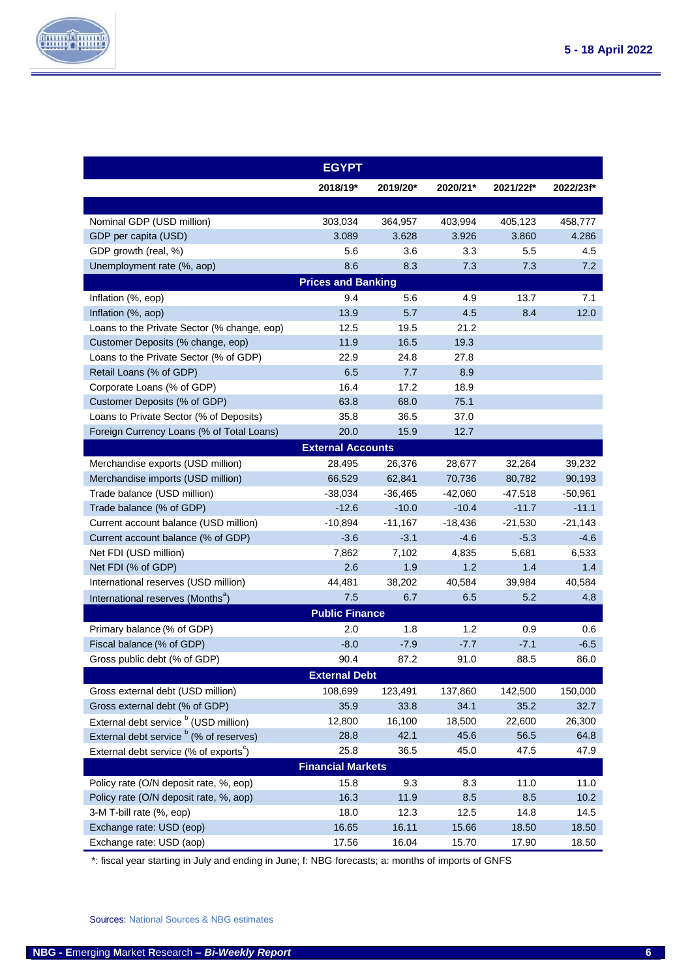

|                                                    | <b>EGYPT</b>              |           |           |           |           |  |  |  |
|----------------------------------------------------|---------------------------|-----------|-----------|-----------|-----------|--|--|--|
|                                                    | 2018/19*                  | 2019/20*  | 2020/21*  | 2021/22f* | 2022/23f* |  |  |  |
|                                                    |                           |           |           |           |           |  |  |  |
| Nominal GDP (USD million)                          | 303,034                   | 364,957   | 403,994   | 405,123   | 458,777   |  |  |  |
| GDP per capita (USD)                               | 3.089                     | 3.628     | 3.926     | 3.860     | 4.286     |  |  |  |
| GDP growth (real, %)                               | 5.6                       | 3.6       | 3.3       | $5.5\,$   | 4.5       |  |  |  |
| Unemployment rate (%, aop)                         | 8.6                       | 8.3       | 7.3       | 7.3       | 7.2       |  |  |  |
|                                                    | <b>Prices and Banking</b> |           |           |           |           |  |  |  |
| Inflation (%, eop)                                 | 9.4                       | 5.6       | 4.9       | 13.7      | 7.1       |  |  |  |
| Inflation (%, aop)                                 | 13.9                      | 5.7       | 4.5       | 8.4       | 12.0      |  |  |  |
| Loans to the Private Sector (% change, eop)        | 12.5                      | 19.5      | 21.2      |           |           |  |  |  |
| Customer Deposits (% change, eop)                  | 11.9                      | 16.5      | 19.3      |           |           |  |  |  |
| Loans to the Private Sector (% of GDP)             | 22.9                      | 24.8      | 27.8      |           |           |  |  |  |
| Retail Loans (% of GDP)                            | 6.5                       | 7.7       | 8.9       |           |           |  |  |  |
| Corporate Loans (% of GDP)                         | 16.4                      | 17.2      | 18.9      |           |           |  |  |  |
| Customer Deposits (% of GDP)                       | 63.8                      | 68.0      | 75.1      |           |           |  |  |  |
| Loans to Private Sector (% of Deposits)            | 35.8                      | 36.5      | 37.0      |           |           |  |  |  |
| Foreign Currency Loans (% of Total Loans)          | 20.0                      | 15.9      | 12.7      |           |           |  |  |  |
|                                                    | <b>External Accounts</b>  |           |           |           |           |  |  |  |
| Merchandise exports (USD million)                  | 28,495                    | 26,376    | 28,677    | 32,264    | 39,232    |  |  |  |
| Merchandise imports (USD million)                  | 66,529                    | 62,841    | 70,736    | 80,782    | 90,193    |  |  |  |
| Trade balance (USD million)                        | $-38,034$                 | $-36,465$ | -42,060   | -47,518   | $-50,961$ |  |  |  |
| Trade balance (% of GDP)                           | $-12.6$                   | $-10.0$   | $-10.4$   | $-11.7$   | $-11.1$   |  |  |  |
| Current account balance (USD million)              | $-10,894$                 | $-11,167$ | $-18,436$ | $-21,530$ | $-21,143$ |  |  |  |
| Current account balance (% of GDP)                 | $-3.6$                    | $-3.1$    | $-4.6$    | $-5.3$    | $-4.6$    |  |  |  |
| Net FDI (USD million)                              | 7,862                     | 7,102     | 4,835     | 5,681     | 6,533     |  |  |  |
| Net FDI (% of GDP)                                 | 2.6                       | 1.9       | 1.2       | 1.4       | 1.4       |  |  |  |
| International reserves (USD million)               | 44,481                    | 38,202    | 40,584    | 39,984    | 40,584    |  |  |  |
| International reserves (Months <sup>a</sup> )      | 7.5                       | 6.7       | 6.5       | 5.2       | 4.8       |  |  |  |
|                                                    | <b>Public Finance</b>     |           |           |           |           |  |  |  |
| Primary balance (% of GDP)                         | 2.0                       | 1.8       | 1.2       | 0.9       | 0.6       |  |  |  |
| Fiscal balance (% of GDP)                          | $-8.0$                    | $-7.9$    | $-7.7$    | $-7.1$    | $-6.5$    |  |  |  |
| Gross public debt (% of GDP)                       | 90.4                      | 87.2      | 91.0      | 88.5      | 86.0      |  |  |  |
|                                                    | <b>External Debt</b>      |           |           |           |           |  |  |  |
| Gross external debt (USD million)                  | 108,699                   | 123,491   | 137,860   | 142,500   | 150,000   |  |  |  |
| Gross external debt (% of GDP)                     | 35.9                      | 33.8      | 34.1      | 35.2      | 32.7      |  |  |  |
| External debt service <sup>b</sup> (USD million)   | 12,800                    | 16,100    | 18,500    | 22,600    | 26,300    |  |  |  |
| External debt service <sup>b</sup> (% of reserves) | 28.8                      | 42.1      | 45.6      | 56.5      | 64.8      |  |  |  |
| External debt service (% of exports <sup>c</sup> ) | 25.8                      | 36.5      | 45.0      | 47.5      | 47.9      |  |  |  |
| <b>Financial Markets</b>                           |                           |           |           |           |           |  |  |  |
| Policy rate (O/N deposit rate, %, eop)             | 15.8                      | 9.3       | 8.3       | 11.0      | 11.0      |  |  |  |
| Policy rate (O/N deposit rate, %, aop)             | 16.3                      | 11.9      | 8.5       | 8.5       | 10.2      |  |  |  |
| 3-M T-bill rate (%, eop)                           | 18.0                      | 12.3      | 12.5      | 14.8      | 14.5      |  |  |  |
| Exchange rate: USD (eop)                           | 16.65                     | 16.11     | 15.66     | 18.50     | 18.50     |  |  |  |
| Exchange rate: USD (aop)                           | 17.56                     | 16.04     | 15.70     | 17.90     | 18.50     |  |  |  |

\*: fiscal year starting in July and ending in June; f: NBG forecasts; a: months of imports of GNFS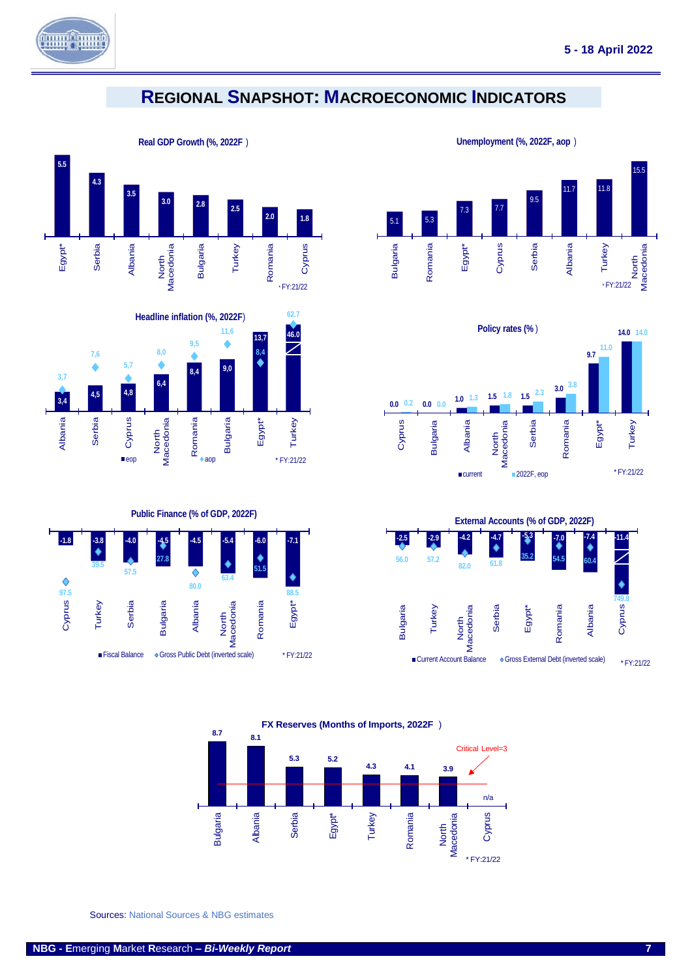

**97.5**

Cyprus

**39.5**

 $\blacklozenge$ 

Turkey

**57.5**

Serbia

**27.8**

**Bulgaria** 

**80.0**

♦

Albania

### <span id="page-7-0"></span>**REGIONAL SNAPSHOT: MACROECONOMIC INDICATORS**





**Unemployment (%, 2022F, aop** )











Sources: National Sources & NBG estimates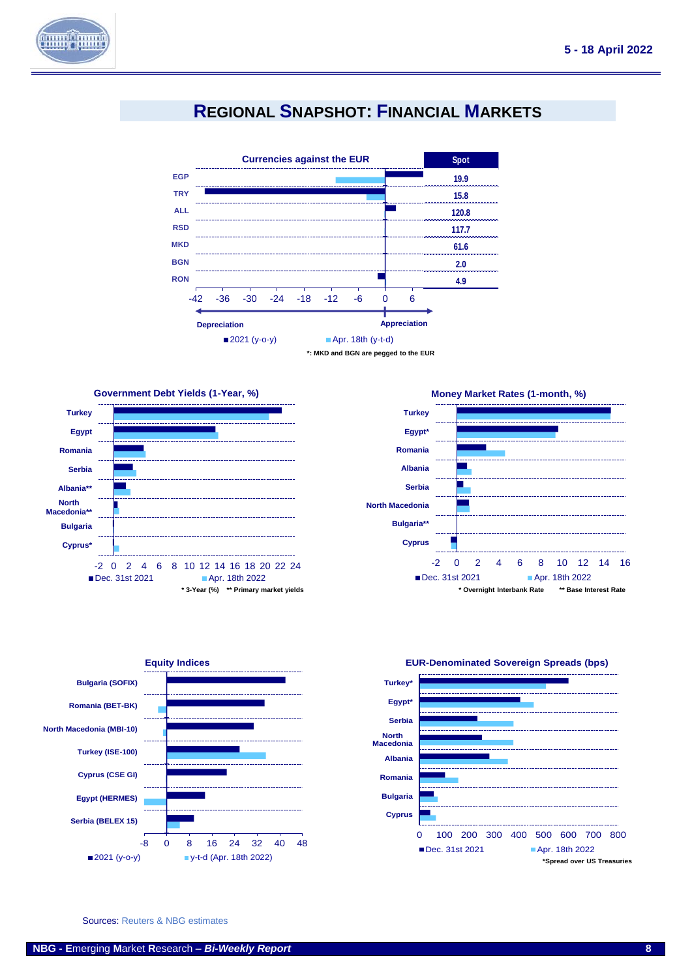

## **REGIONAL SNAPSHOT: FINANCIAL MARKETS**

<span id="page-8-0"></span>









#### **EUR-Denominated Sovereign Spreads (bps)**

Sources: Reuters & NBG estimates